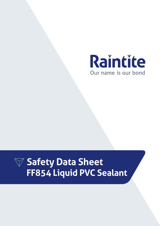

# **Safety Data Sheet FF854 Liquid PVC Sealant**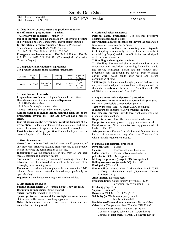# **1. Identification of preparation and producer/importer Identification of preparation: Sealant**

**Alternative product name:** Thinner 494 **Use of preparation:** Joining and sealing welds of water-proofing and swimming-pool PVC membranes and/or sealant thinning **Identification of producer/importer:** Superfix Production

s.r.o., náměstí Svobody 1054, 752 01 Kojetín. Tel.: +420 581 764 107 Fax: +420 581 761 543

**Emergency telephone number:** +420 224 919 293, or +420 224 915 402, or +420 224 914 575 (Toxicological Information Centre in Prague)

# **2. Composition/information on ingredients The product contains these hazardous substances:**

| CAS No.  | <b>EINECS</b><br>No. | Name                 | Warning<br>symbol | Contents<br>in $%$ | R-phrase<br>S-phrase                     |
|----------|----------------------|----------------------|-------------------|--------------------|------------------------------------------|
| 109-99-9 | 203-726-2            | tetra-hydro<br>furan | F Xi              | at least<br>80     | R 11-19-<br>36/37<br>$S(2)-16-$<br>29-33 |

# **3. Identification of hazards**

**Preparation classification:** F highly flammable, Xi irritant Hazards to man and the environment – **R-phrases:** 

R11 Highly flammable.

R19 May form explosive peroxides.

R36/37 Irritating to eyes and respiratory system.

**Critical hazards to human health resulting from use of the preparation:** Irritates eyes, skin and airways; has a narcotic effect.

**Critical hazards to the environment resulting from use of the preparation:** Contains substances that pollute water and are a source of emissions of organic substances into the atmosphere.

**Possible misuse of the preparation:** Flammable liquid, must be protected against naked flames.

# **4. First aid measures**

**General instructions:** Seek medical attention if symptoms of any problems (irritation) resulting from exposure to the product persist following the administration of first aid.

**Inhalation:** Move the affected person into fresh air and seek medical attention if discomfort occurs.

**Skin contact:** Remove any contaminated clothing, remove the substance from the affected skin, wash with soap and clean thoroughly under running water.

**Eye contact:** Flush eyes thoroughly with clean water for 10-15 minutes. Seek medical attention immediately, preferably an ophthalmologist.

**Ingestion:** Do not induce vomiting. Seek medical advice.

# **5. Fire-fighting measures**

**Suitable extinguishers:** CO<sub>2</sub> (carbon dioxide), powder, foam. **Unsuitable extinguishers:** Strong water jet.

**Special hazards:** Production of smoke.

**Special protective equipment for fire-fighters:** Anti-chemical clothing and self-contained breathing apparatus.

**Other information:** Vapours are heavier than air and accumulate near the ground.

#### **6. Accidental release measures**

**Personal safety precautions:** Use personal protective equipment described in Point 8.

**Environmental safety precautions:** Prevent the preparation from entering water sources or drains.

**Recommended methods for cleaning and disposal:** Collect spillage mechanically, cover with an inert absorbent material (e.g. Vapex) and dispose of in incinerators designed for hazardous substances.

# **7. Handling and storage instructions**

**7.1 Handling:** Use eye and skin protective devices. Act in accordance with regulations concerning flammable liquids and provide ventilation. Please note that vapours may accumulate near the ground! Do not eat, drink or smoke during work. Wash hands after work and before consumption of food.

**7.2 Storage:** Containers must be tightly closed and stored in a dry and ventilated place in accordance with regulations for flammable liquids as set forth in Czech State Standard CSN 65 0201, at a temperature of  $+5$  to  $+25^{\circ}$ C.

# **8. Exposure controls and personal protection**

**8.1 Exposure limits:** Permissible exposure limits (PEL) and maximum permissible concentrations (MPC):

Tetra-hydro furan: PEL 150 mg/m<sup>3</sup>, MPC 300 mg/m<sup>3</sup>

In exposure, the substance easily permeates the skin.

**8.2 Exposure controls:** Provide local ventilation while the product is being applied.

**Respiratory protection:** Use in well-ventilated areas. **Eye protection:** Wear protective goggles or a face shield. **Hand protection:** Wear protective working gloves made of leather, rubber, PE.

**Skin protection:** Use working clothes and footwear. Wash hands with hot water and soap after work. Treat the skin with a suitable regenerative product.

# **9. Physical and chemical properties**

**Physical state:** Liquid **Colour:** Transparent, grey, blue, green **Odour (smell):** Typical solvent smell, etheric **pH** value (at °C): Not applicable **Melting temperature (range in °C):** Not applicable **Boiling temperature (range in °C):** Above 40 **Flash point (** $^{\circ}$ **C):**  $\leq$  **-24 Flammability:** Hazard class I flammable liquid (CSN 650201) – flammable liquid (Government Decree 173/1997 Coll.) **Auto-ignition:** Does not occur **Explosion limits:** Upper limit (% by volume): 12.0 Lower limit (% by volume): 1.5 **Oxidising properties: Vapour tension (at °C): Density (at 20°C):**  $0.85 - 0.95$  g/cm<sup>3</sup>

**Solubility (at °C):** In water: partly soluble

In oils: not available

**Partition coefficient of n-octanol/water:** Not available

**Other data:** Temperature class: T3 under CSN 33 0371 Explosiveness group: IIA under CSN 33 0371 Contents of organic solvents: 0.81 kg/product kg Contents of total organic carbon: 0.54 kg/product kg